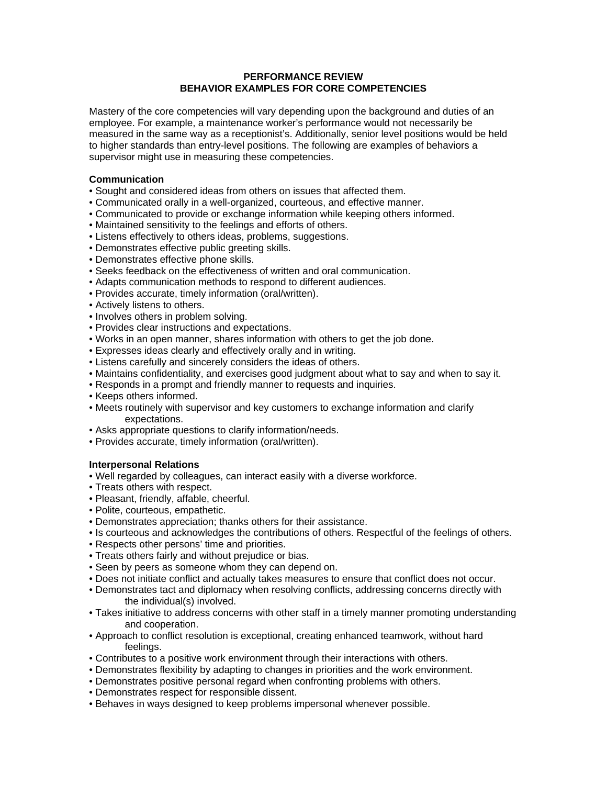# **PERFORMANCE REVIEW BEHAVIOR EXAMPLES FOR CORE COMPETENCIES**

Mastery of the core competencies will vary depending upon the background and duties of an employee. For example, a maintenance worker's performance would not necessarily be measured in the same way as a receptionist's. Additionally, senior level positions would be held to higher standards than entry-level positions. The following are examples of behaviors a supervisor might use in measuring these competencies.

## **Communication**

- Sought and considered ideas from others on issues that affected them.
- Communicated orally in a well-organized, courteous, and effective manner.
- Communicated to provide or exchange information while keeping others informed.
- Maintained sensitivity to the feelings and efforts of others.
- Listens effectively to others ideas, problems, suggestions.
- Demonstrates effective public greeting skills.
- Demonstrates effective phone skills.
- Seeks feedback on the effectiveness of written and oral communication.
- Adapts communication methods to respond to different audiences.
- Provides accurate, timely information (oral/written).
- Actively listens to others.
- Involves others in problem solving.
- Provides clear instructions and expectations.
- Works in an open manner, shares information with others to get the job done.
- Expresses ideas clearly and effectively orally and in writing.
- Listens carefully and sincerely considers the ideas of others.
- Maintains confidentiality, and exercises good judgment about what to say and when to say it.
- Responds in a prompt and friendly manner to requests and inquiries.
- Keeps others informed.
- Meets routinely with supervisor and key customers to exchange information and clarify expectations.
- Asks appropriate questions to clarify information/needs.
- Provides accurate, timely information (oral/written).

# **Interpersonal Relations**

- Well regarded by colleagues, can interact easily with a diverse workforce.
- Treats others with respect.
- Pleasant, friendly, affable, cheerful.
- Polite, courteous, empathetic.
- Demonstrates appreciation; thanks others for their assistance.
- Is courteous and acknowledges the contributions of others. Respectful of the feelings of others.
- Respects other persons' time and priorities.
- Treats others fairly and without prejudice or bias.
- Seen by peers as someone whom they can depend on.
- Does not initiate conflict and actually takes measures to ensure that conflict does not occur.
- Demonstrates tact and diplomacy when resolving conflicts, addressing concerns directly with the individual(s) involved.
- Takes initiative to address concerns with other staff in a timely manner promoting understanding and cooperation.
- Approach to conflict resolution is exceptional, creating enhanced teamwork, without hard feelings.
- Contributes to a positive work environment through their interactions with others.
- Demonstrates flexibility by adapting to changes in priorities and the work environment.
- Demonstrates positive personal regard when confronting problems with others.
- Demonstrates respect for responsible dissent.
- Behaves in ways designed to keep problems impersonal whenever possible.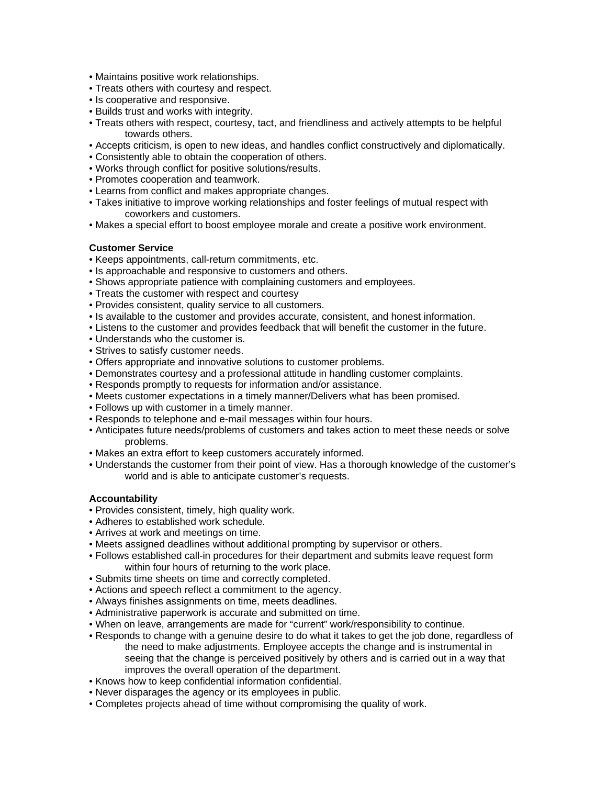- Maintains positive work relationships.
- Treats others with courtesy and respect.
- Is cooperative and responsive.
- Builds trust and works with integrity.
- Treats others with respect, courtesy, tact, and friendliness and actively attempts to be helpful towards others.
- Accepts criticism, is open to new ideas, and handles conflict constructively and diplomatically.
- Consistently able to obtain the cooperation of others.
- Works through conflict for positive solutions/results.
- Promotes cooperation and teamwork.
- Learns from conflict and makes appropriate changes.
- Takes initiative to improve working relationships and foster feelings of mutual respect with coworkers and customers.
- Makes a special effort to boost employee morale and create a positive work environment.

### **Customer Service**

- Keeps appointments, call-return commitments, etc.
- Is approachable and responsive to customers and others.
- Shows appropriate patience with complaining customers and employees.
- Treats the customer with respect and courtesy
- Provides consistent, quality service to all customers.
- Is available to the customer and provides accurate, consistent, and honest information.
- Listens to the customer and provides feedback that will benefit the customer in the future.
- Understands who the customer is.
- Strives to satisfy customer needs.
- Offers appropriate and innovative solutions to customer problems.
- Demonstrates courtesy and a professional attitude in handling customer complaints.
- Responds promptly to requests for information and/or assistance.
- Meets customer expectations in a timely manner/Delivers what has been promised.
- Follows up with customer in a timely manner.
- Responds to telephone and e-mail messages within four hours.
- Anticipates future needs/problems of customers and takes action to meet these needs or solve problems.
- Makes an extra effort to keep customers accurately informed.
- Understands the customer from their point of view. Has a thorough knowledge of the customer's world and is able to anticipate customer's requests.

### **Accountability**

- Provides consistent, timely, high quality work.
- Adheres to established work schedule.
- Arrives at work and meetings on time.
- Meets assigned deadlines without additional prompting by supervisor or others.
- Follows established call-in procedures for their department and submits leave request form within four hours of returning to the work place.
- Submits time sheets on time and correctly completed.
- Actions and speech reflect a commitment to the agency.
- Always finishes assignments on time, meets deadlines.
- Administrative paperwork is accurate and submitted on time.
- When on leave, arrangements are made for "current" work/responsibility to continue.
- Responds to change with a genuine desire to do what it takes to get the job done, regardless of the need to make adjustments. Employee accepts the change and is instrumental in seeing that the change is perceived positively by others and is carried out in a way that improves the overall operation of the department.
- Knows how to keep confidential information confidential.
- Never disparages the agency or its employees in public.
- Completes projects ahead of time without compromising the quality of work.